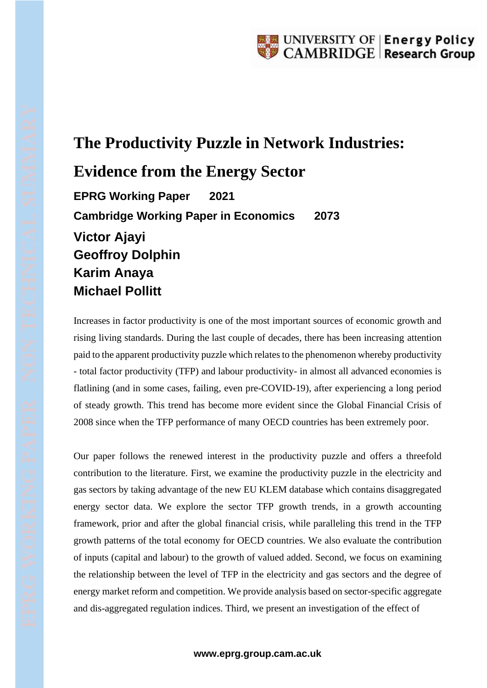## **The Productivity Puzzle in Network Industries:**

## **Evidence from the Energy Sector**

**EPRG Working Paper 2021 Cambridge Working Paper in Economics 2073 Victor Ajayi Geoffroy Dolphin Karim Anaya Michael Pollitt**

Increases in factor productivity is one of the most important sources of economic growth and rising living standards. During the last couple of decades, there has been increasing attention paid to the apparent productivity puzzle which relates to the phenomenon whereby productivity - total factor productivity (TFP) and labour productivity- in almost all advanced economies is flatlining (and in some cases, failing, even pre-COVID-19), after experiencing a long period of steady growth. This trend has become more evident since the Global Financial Crisis of 2008 since when the TFP performance of many OECD countries has been extremely poor.

Our paper follows the renewed interest in the productivity puzzle and offers a threefold contribution to the literature. First, we examine the productivity puzzle in the electricity and gas sectors by taking advantage of the new EU KLEM database which contains disaggregated energy sector data. We explore the sector TFP growth trends, in a growth accounting framework, prior and after the global financial crisis, while paralleling this trend in the TFP growth patterns of the total economy for OECD countries. We also evaluate the contribution of inputs (capital and labour) to the growth of valued added. Second, we focus on examining the relationship between the level of TFP in the electricity and gas sectors and the degree of energy market reform and competition. We provide analysis based on sector-specific aggregate and dis-aggregated regulation indices. Third, we present an investigation of the effect of